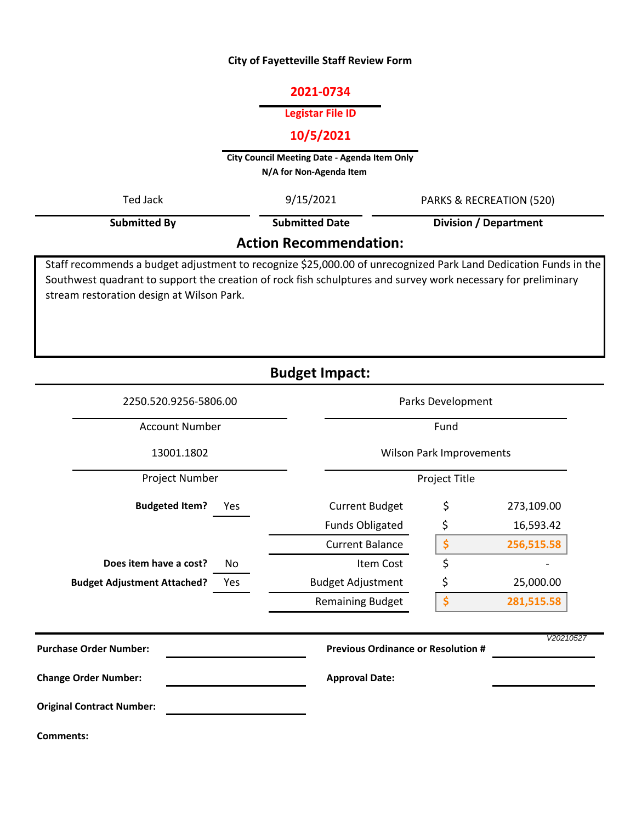#### **City of Fayetteville Staff Review Form**

## **2021-0734**

#### **Legistar File ID**

# **10/5/2021**

**City Council Meeting Date - Agenda Item Only N/A for Non-Agenda Item** 

| Ted Jack                      | 9/15/2021             | PARKS & RECREATION (520)                                                                                      |  |  |
|-------------------------------|-----------------------|---------------------------------------------------------------------------------------------------------------|--|--|
| <b>Submitted By</b>           | <b>Submitted Date</b> | Division / Department                                                                                         |  |  |
| <b>Action Recommendation:</b> |                       |                                                                                                               |  |  |
|                               |                       | iaff recommended budget ediversent to recognize CBE 000.00 of varecognized Derletend Dedication Eurole in the |  |  |

Staff recommends a budget adjustment to recognize \$25,000.00 of unrecognized Park Land Dedication Funds in the Southwest quadrant to support the creation of rock fish schulptures and survey work necessary for preliminary stream restoration design at Wilson Park.

**Budget Impact:**

| 2250.520.9256-5806.00                     | Parks Development                         |    |            |
|-------------------------------------------|-------------------------------------------|----|------------|
| <b>Account Number</b>                     | Fund                                      |    |            |
| 13001.1802                                | Wilson Park Improvements                  |    |            |
| Project Number                            | Project Title                             |    |            |
| <b>Budgeted Item?</b><br>Yes              | <b>Current Budget</b>                     | \$ | 273,109.00 |
|                                           | <b>Funds Obligated</b>                    | \$ | 16,593.42  |
|                                           | <b>Current Balance</b>                    | \$ | 256,515.58 |
| Does item have a cost?<br>No              | Item Cost                                 | \$ |            |
| <b>Budget Adjustment Attached?</b><br>Yes | <b>Budget Adjustment</b>                  | \$ | 25,000.00  |
|                                           | <b>Remaining Budget</b>                   | \$ | 281,515.58 |
| <b>Purchase Order Number:</b>             | <b>Previous Ordinance or Resolution #</b> |    | V20210527  |
| <b>Change Order Number:</b>               | <b>Approval Date:</b>                     |    |            |
| <b>Original Contract Number:</b>          |                                           |    |            |
| <b>Comments:</b>                          |                                           |    |            |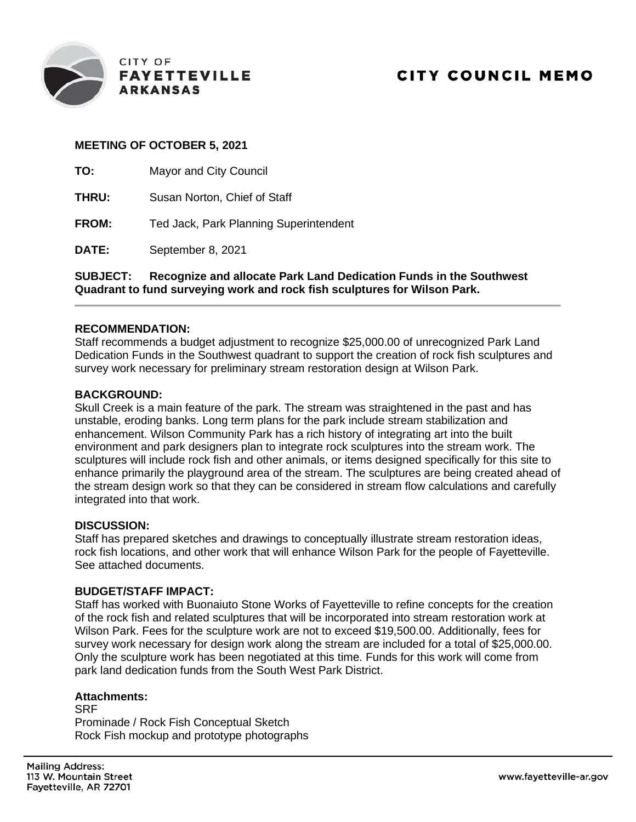

## **MEETING OF OCTOBER 5, 2021**

| TO:          | <b>Mayor and City Council</b>          |
|--------------|----------------------------------------|
| THRU:        | Susan Norton, Chief of Staff           |
| <b>FROM:</b> | Ted Jack, Park Planning Superintendent |

**DATE:** September 8, 2021

**SUBJECT: Recognize and allocate Park Land Dedication Funds in the Southwest Quadrant to fund surveying work and rock fish sculptures for Wilson Park.**

#### **RECOMMENDATION:**

Staff recommends a budget adjustment to recognize \$25,000.00 of unrecognized Park Land Dedication Funds in the Southwest quadrant to support the creation of rock fish sculptures and survey work necessary for preliminary stream restoration design at Wilson Park.

## **BACKGROUND:**

Skull Creek is a main feature of the park. The stream was straightened in the past and has unstable, eroding banks. Long term plans for the park include stream stabilization and enhancement. Wilson Community Park has a rich history of integrating art into the built environment and park designers plan to integrate rock sculptures into the stream work. The sculptures will include rock fish and other animals, or items designed specifically for this site to enhance primarily the playground area of the stream. The sculptures are being created ahead of the stream design work so that they can be considered in stream flow calculations and carefully integrated into that work.

#### **DISCUSSION:**

Staff has prepared sketches and drawings to conceptually illustrate stream restoration ideas, rock fish locations, and other work that will enhance Wilson Park for the people of Fayetteville. See attached documents.

### **BUDGET/STAFF IMPACT:**

Staff has worked with Buonaiuto Stone Works of Fayetteville to refine concepts for the creation of the rock fish and related sculptures that will be incorporated into stream restoration work at Wilson Park. Fees for the sculpture work are not to exceed \$19,500.00. Additionally, fees for survey work necessary for design work along the stream are included for a total of \$25,000.00. Only the sculpture work has been negotiated at this time. Funds for this work will come from park land dedication funds from the South West Park District.

## **Attachments:**

**SRF** Prominade / Rock Fish Conceptual Sketch Rock Fish mockup and prototype photographs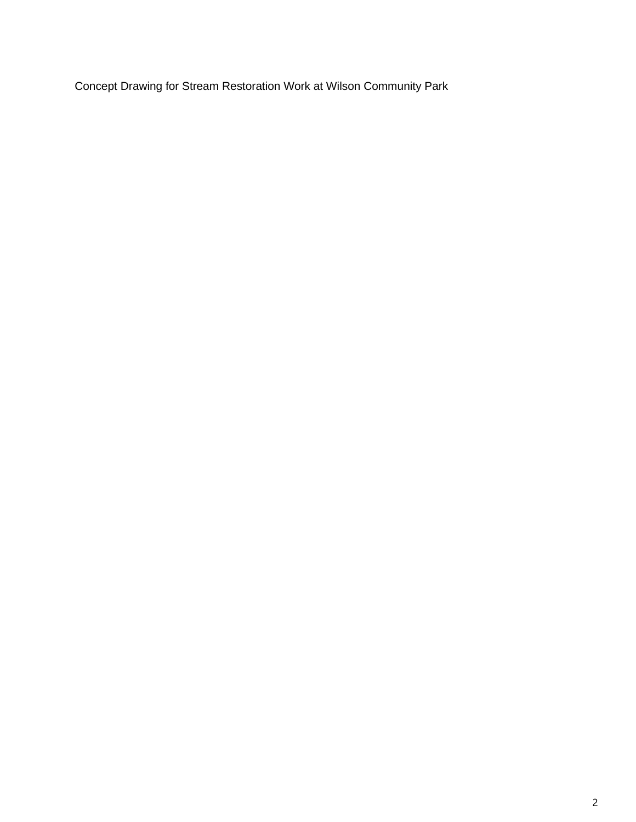Concept Drawing for Stream Restoration Work at Wilson Community Park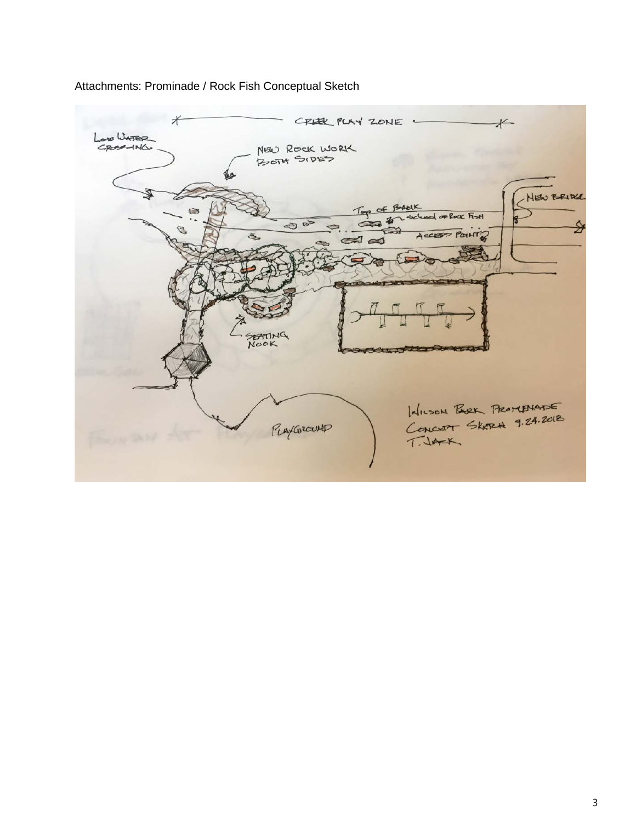

## Attachments: Prominade / Rock Fish Conceptual Sketch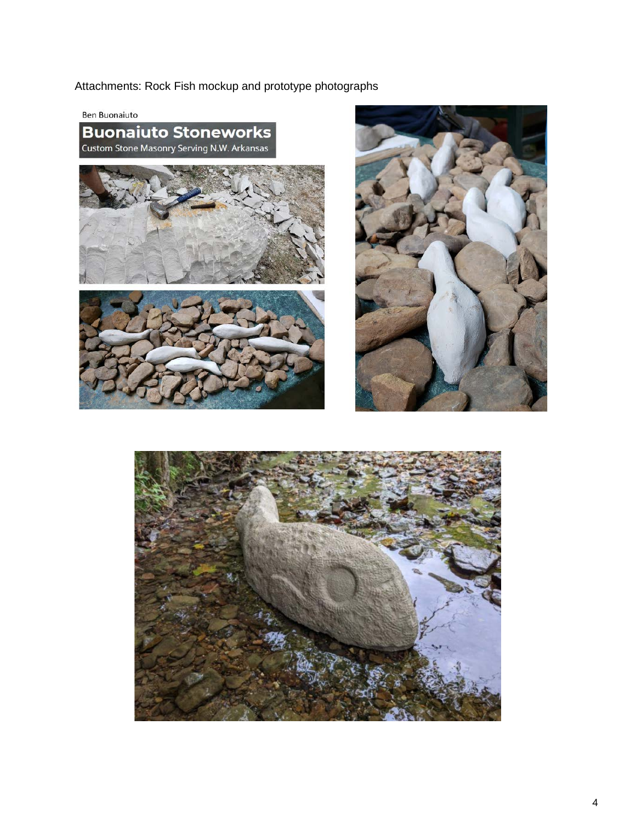Attachments: Rock Fish mockup and prototype photographs

**Ben Buonaiuto** 

**Buonaiuto Stoneworks** Custom Stone Masonry Serving N.W. Arkansas